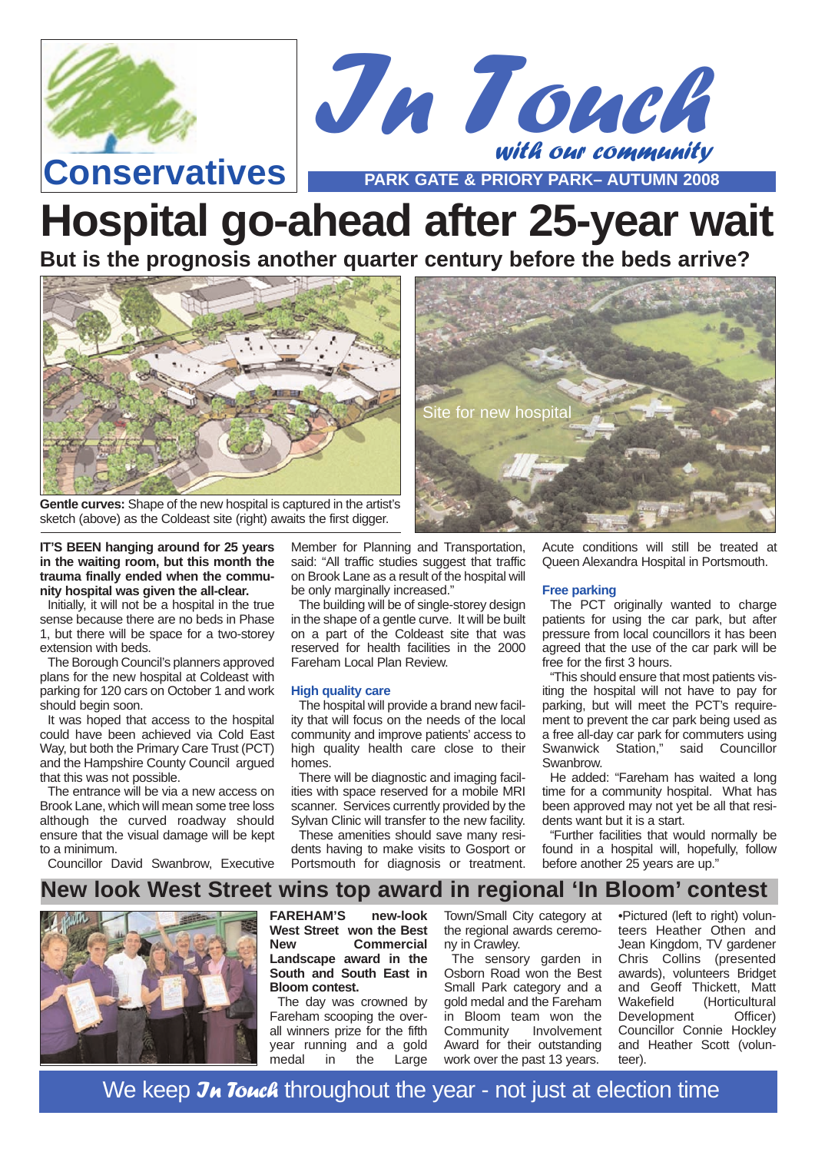



Site for new hospital

# **Hospital go-ahead after 25-year wait**

**But is the prognosis another quarter century before the beds arrive?**



**Gentle curves:** Shape of the new hospital is captured in the artist's sketch (above) as the Coldeast site (right) awaits the first digger.

**IT'S BEEN hanging around for 25 years in the waiting room, but this month the trauma finally ended when the community hospital was given the all-clear.**

Initially, it will not be a hospital in the true sense because there are no beds in Phase 1, but there will be space for a two-storey extension with beds.

The Borough Council's planners approved plans for the new hospital at Coldeast with parking for 120 cars on October 1 and work should begin soon.

It was hoped that access to the hospital could have been achieved via Cold East Way, but both the Primary Care Trust (PCT) and the Hampshire County Council argued that this was not possible.

The entrance will be via a new access on Brook Lane, which will mean some tree loss although the curved roadway should ensure that the visual damage will be kept to a minimum. Councillor David Swanbrow, Executive Member for Planning and Transportation, said: "All traffic studies suggest that traffic on Brook Lane as a result of the hospital will be only marginally increased." The building will be of single-storey design

in the shape of a gentle curve. It will be built on a part of the Coldeast site that was reserved for health facilities in the 2000 Fareham Local Plan Review.

#### **High quality care**

The hospital will provide a brand new facility that will focus on the needs of the local community and improve patients' access to high quality health care close to their homes.

There will be diagnostic and imaging facilities with space reserved for a mobile MRI scanner. Services currently provided by the Sylvan Clinic will transfer to the new facility.

These amenities should save many residents having to make visits to Gosport or Portsmouth for diagnosis or treatment.

Acute conditions will still be treated at Queen Alexandra Hospital in Portsmouth.

#### **Free parking**

The PCT originally wanted to charge patients for using the car park, but after pressure from local councillors it has been agreed that the use of the car park will be free for the first 3 hours.

"This should ensure that most patients visiting the hospital will not have to pay for parking, but will meet the PCT's requirement to prevent the car park being used as a free all-day car park for commuters using<br>Swanwick Station." said Councillor Station," said Councillor Swanbrow.

He added: "Fareham has waited a long time for a community hospital. What has been approved may not yet be all that residents want but it is a start.

"Further facilities that would normally be found in a hospital will, hopefully, follow before another 25 years are up."

### **New look West Street wins top award in regional 'In Bloom' contest**



**FAREHAM'S new-look West Street won the Best New Commercial Landscape award in the South and South East in Bloom contest.**

The day was crowned by Fareham scooping the overall winners prize for the fifth year running and a gold medal in the Large

Town/Small City category at the regional awards ceremony in Crawley.

The sensory garden in Osborn Road won the Best Small Park category and a gold medal and the Fareham in Bloom team won the<br>Community Involvement Involvement Award for their outstanding work over the past 13 years.

•Pictured (left to right) volunteers Heather Othen and Jean Kingdom, TV gardener Chris Collins (presented awards), volunteers Bridget and Geoff Thickett, Matt Wakefield (Horticultural Development Officer) Councillor Connie Hockley and Heather Scott (volunteer).

We keep Jn Touch throughout the year - not just at election time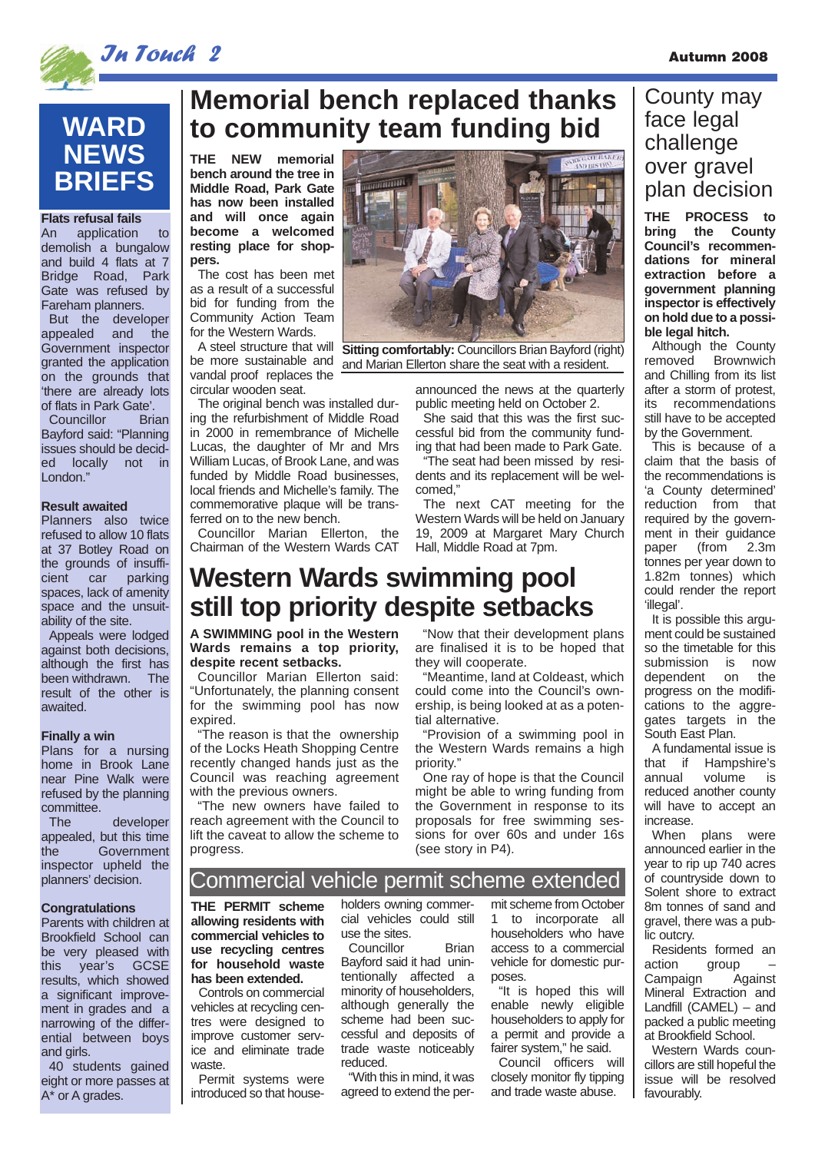

### **WARD NEWS BRIEFS**

**Flats refusal fails**<br>An application application to demolish a bungalow and build 4 flats at 7 Bridge Road, Park Gate was refused by Fareham planners. But the developer appealed and the Government inspector granted the application on the grounds that 'there are already lots of flats in Park Gate'.

Councillor Brian Bayford said: "Planning issues should be decided locally not in London."

#### **Result awaited**

Planners also twice refused to allow 10 flats at 37 Botley Road on the grounds of insuffi-<br>cient car parking cient car spaces, lack of amenity space and the unsuitability of the site.

Appeals were lodged against both decisions, although the first has been withdrawn. The result of the other is awaited.

#### **Finally a win**

Plans for a nursing home in Brook Lane near Pine Walk were refused by the planning committee.

The developer appealed, but this time the Government inspector upheld the planners' decision.

#### **Congratulations**

Parents with children at Brookfield School can be very pleased with this year's GCSE results, which showed a significant improvement in grades and a narrowing of the differential between boys and girls.

40 students gained eight or more passes at A\* or A grades.

### **Memorial bench replaced thanks to community team funding bid**

**THE NEW memorial bench around the tree in Middle Road, Park Gate has now been installed and will once again become a welcomed resting place for shoppers.** 

The cost has been met as a result of a successful bid for funding from the Community Action Team for the Western Wards.

be more sustainable and vandal proof replaces the circular wooden seat.

The original bench was installed during the refurbishment of Middle Road in 2000 in remembrance of Michelle Lucas, the daughter of Mr and Mrs William Lucas, of Brook Lane, and was funded by Middle Road businesses, local friends and Michelle's family. The commemorative plaque will be transferred on to the new bench.

Councillor Marian Ellerton, the Chairman of the Western Wards CAT



A steel structure that will **Sitting comfortably:** Councillors Brian Bayford (right) and Marian Ellerton share the seat with a resident.

> announced the news at the quarterly public meeting held on October 2.

She said that this was the first successful bid from the community funding that had been made to Park Gate.

"The seat had been missed by residents and its replacement will be welcomed,"

The next CAT meeting for the Western Wards will be held on January 19, 2009 at Margaret Mary Church Hall, Middle Road at 7pm.

### **Western Wards swimming pool still top priority despite setbacks**

**A SWIMMING pool in the Western Wards remains a top priority, despite recent setbacks.**

Councillor Marian Ellerton said: "Unfortunately, the planning consent for the swimming pool has now expired.

"The reason is that the ownership of the Locks Heath Shopping Centre recently changed hands just as the Council was reaching agreement with the previous owners.

"The new owners have failed to reach agreement with the Council to lift the caveat to allow the scheme to progress.

"Now that their development plans are finalised it is to be hoped that they will cooperate.

"Meantime, land at Coldeast, which could come into the Council's ownership, is being looked at as a potential alternative.

"Provision of a swimming pool in the Western Wards remains a high priority."

One ray of hope is that the Council might be able to wring funding from the Government in response to its proposals for free swimming sessions for over 60s and under 16s (see story in P4).

#### Commercial vehicle permit scheme extended

**THE PERMIT scheme allowing residents with commercial vehicles to use recycling centres for household waste has been extended.**

Controls on commercial vehicles at recycling centres were designed to improve customer service and eliminate trade waste.

Permit systems were introduced so that householders owning commercial vehicles could still use the sites.

Bayford said it had unintentionally affected a minority of householders, although generally the scheme had been successful and deposits of trade waste noticeably reduced.

"With this in mind, it was agreed to extend the permit scheme from October 1 to incorporate all householders who have access to a commercial vehicle for domestic purposes.

"It is hoped this will enable newly eligible householders to apply for a permit and provide a fairer system," he said.

Council officers will closely monitor fly tipping and trade waste abuse.

### County may face legal challenge over gravel plan decision

**THE PROCESS to bring the County Council's recommendations for mineral extraction before a government planning inspector is effectively on hold due to a possible legal hitch.**

Although the County removed Brownwich and Chilling from its list after a storm of protest, its recommendations still have to be accepted by the Government.

This is because of a claim that the basis of the recommendations is 'a County determined' reduction from that required by the government in their guidance paper (from 2.3m tonnes per year down to 1.82m tonnes) which could render the report 'illegal'.

It is possible this argument could be sustained so the timetable for this submission is now dependent on the progress on the modifications to the aggregates targets in the South East Plan.

A fundamental issue is<br>that if Hampshire's that if Hampshire's<br>annual volume is volume reduced another county will have to accept an increase

When plans were announced earlier in the year to rip up 740 acres of countryside down to Solent shore to extract 8m tonnes of sand and gravel, there was a public outcry.

Residents formed an  $\arctan \frac{\pi}{2}$ – group<br>Against Campaign Mineral Extraction and Landfill (CAMEL) – and packed a public meeting at Brookfield School.

Western Wards councillors are still hopeful the issue will be resolved favourably.

Councillor Brian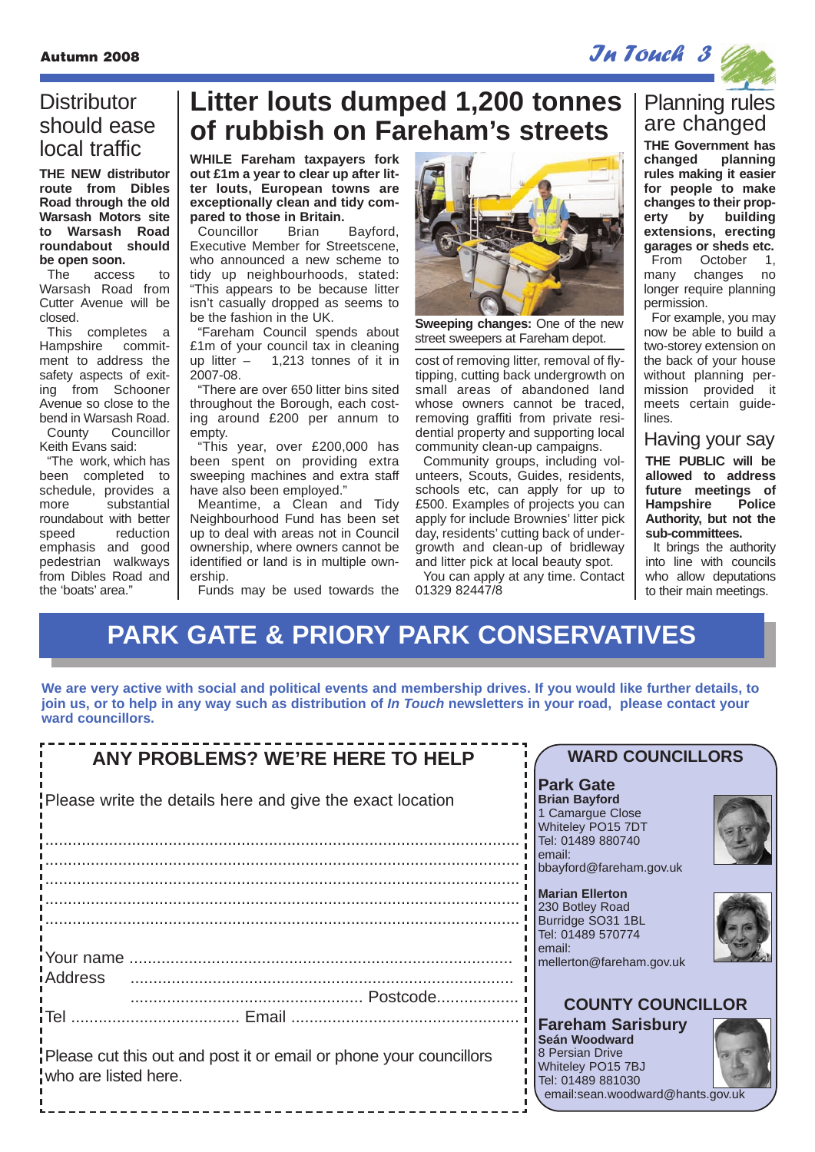Autumn 2008 **In Touch 3** In Touch 3

### **Distributor** should ease local traffic

**THE NEW distributor route from Dibles Road through the old Warsash Motors site to Warsash Road roundabout should be open soon.**

The access to Warsash Road from Cutter Avenue will be closed.

This completes a Hampshire commitment to address the safety aspects of exiting from Schooner Avenue so close to the bend in Warsash Road. County Councillor

Keith Evans said:

"The work, which has been completed to schedule, provides a more substantial roundabout with better speed reduction emphasis and good pedestrian walkways from Dibles Road and the 'boats' area."

## **Litter louts dumped 1,200 tonnes of rubbish on Fareham's streets**

**WHILE Fareham taxpayers fork out £1m a year to clear up after litter louts, European towns are exceptionally clean and tidy compared to those in Britain.**

Councillor Brian Bayford, Executive Member for Streetscene, who announced a new scheme to tidy up neighbourhoods, stated: "This appears to be because litter isn't casually dropped as seems to be the fashion in the UK.

"Fareham Council spends about £1m of your council tax in cleaning up litter – 1,213 tonnes of it in 2007-08.

"There are over 650 litter bins sited throughout the Borough, each costing around £200 per annum to empty.

"This year, over £200,000 has been spent on providing extra sweeping machines and extra staff have also been employed."

Meantime, a Clean and Tidy Neighbourhood Fund has been set up to deal with areas not in Council ownership, where owners cannot be identified or land is in multiple ownership.

Funds may be used towards the



**Sweeping changes:** One of the new street sweepers at Fareham depot.

cost of removing litter, removal of flytipping, cutting back undergrowth on small areas of abandoned land whose owners cannot be traced. removing graffiti from private residential property and supporting local community clean-up campaigns.

Community groups, including volunteers, Scouts, Guides, residents, schools etc, can apply for up to £500. Examples of projects you can apply for include Brownies' litter pick day, residents' cutting back of undergrowth and clean-up of bridleway and litter pick at local beauty spot.

You can apply at any time. Contact 01329 82447/8

### Planning rules are changed

**THE Government has changed planning rules making it easier for people to make changes to their property by building extensions, erecting garages or sheds etc.**

From October 1, many changes no longer require planning permission.

For example, you may now be able to build a two-storey extension on the back of your house without planning permission provided it meets certain guidelines.

#### Having your say

**THE PUBLIC will be allowed to address future meetings of Hampshire Authority, but not the sub-committees.**

It brings the authority into line with councils who allow deputations to their main meetings.

## **PARK GATE & PRIORY PARK CONSERVATIVES**

**We are very active with social and political events and membership drives. If you would like further details, to join us, or to help in any way such as distribution of In Touch newsletters in your road, please contact your ward councillors.**

| <b>ANY PROBLEMS? WE'RE HERE TO HELP</b>                                                    | <b>WARD COUNCILLORS</b>                                                                                                                    |
|--------------------------------------------------------------------------------------------|--------------------------------------------------------------------------------------------------------------------------------------------|
| Please write the details here and give the exact location                                  | <b>Park Gate</b><br><b>Brian Bayford</b><br>1 Camargue Close<br>Whiteley PO15 7DT<br>Tel: 01489 880740                                     |
|                                                                                            | l email:<br>bbayford@fareham.gov.uk                                                                                                        |
| <i>i</i> Address                                                                           | <b>Marian Ellerton</b><br>230 Botley Road<br>Burridge SO31 1BL<br>Tel: 01489 570774<br>lemail:<br>mellerton@fareham.gov.uk                 |
|                                                                                            | <b>COUNTY COUNCILLOR</b>                                                                                                                   |
| Please cut this out and post it or email or phone your councillors<br>who are listed here. | <b>Fareham Sarisbury</b><br>Seán Woodward<br>8 Persian Drive<br>Whiteley PO15 7BJ<br>Tel: 01489 881030<br>email:sean.woodward@hants.gov.uk |